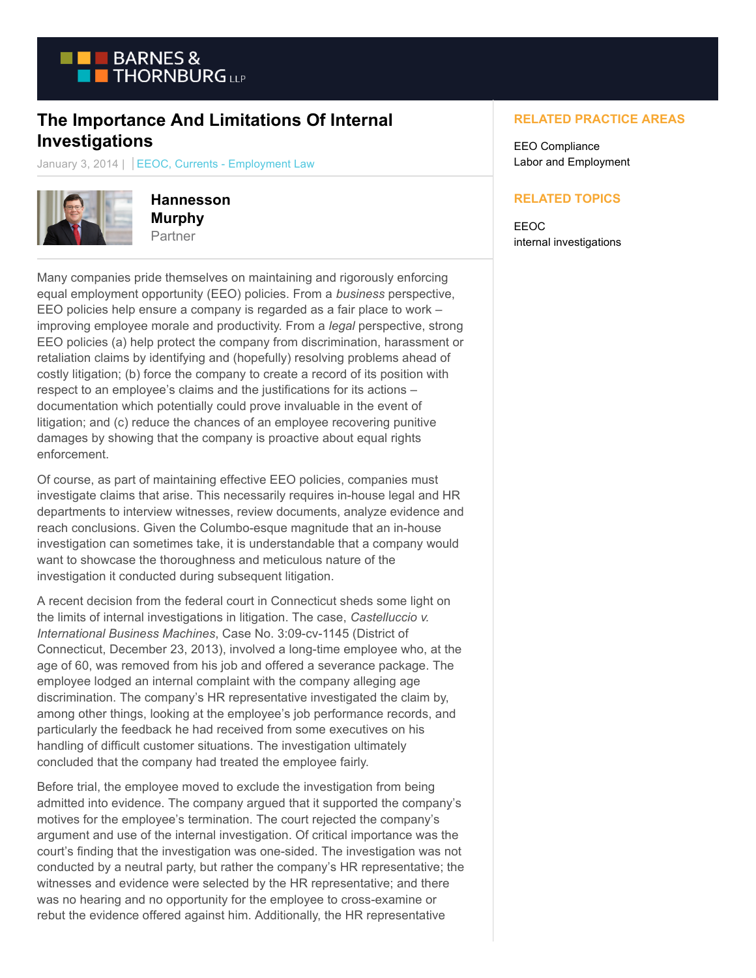

## **The Importance And Limitations Of Internal Investigations**

January 3, 2014 | EEOC, Currents - Employment Law



**Hannesson Murphy** Partner

Many companies pride themselves on maintaining and rigorously enforcing equal employment opportunity (EEO) policies. From a *business* perspective, EEO policies help ensure a company is regarded as a fair place to work – improving employee morale and productivity. From a *legal* perspective, strong EEO policies (a) help protect the company from discrimination, harassment or retaliation claims by identifying and (hopefully) resolving problems ahead of costly litigation; (b) force the company to create a record of its position with respect to an employee's claims and the justifications for its actions – documentation which potentially could prove invaluable in the event of litigation; and (c) reduce the chances of an employee recovering punitive damages by showing that the company is proactive about equal rights enforcement.

Of course, as part of maintaining effective EEO policies, companies must investigate claims that arise. This necessarily requires in-house legal and HR departments to interview witnesses, review documents, analyze evidence and reach conclusions. Given the Columbo-esque magnitude that an in-house investigation can sometimes take, it is understandable that a company would want to showcase the thoroughness and meticulous nature of the investigation it conducted during subsequent litigation.

A recent decision from the federal court in Connecticut sheds some light on the limits of internal investigations in litigation. The case, *Castelluccio v. International Business Machines*, Case No. 3:09-cv-1145 (District of Connecticut, December 23, 2013), involved a long-time employee who, at the age of 60, was removed from his job and offered a severance package. The employee lodged an internal complaint with the company alleging age discrimination. The company's HR representative investigated the claim by, among other things, looking at the employee's job performance records, and particularly the feedback he had received from some executives on his handling of difficult customer situations. The investigation ultimately concluded that the company had treated the employee fairly.

Before trial, the employee moved to exclude the investigation from being admitted into evidence. The company argued that it supported the company's motives for the employee's termination. The court rejected the company's argument and use of the internal investigation. Of critical importance was the court's finding that the investigation was one-sided. The investigation was not conducted by a neutral party, but rather the company's HR representative; the witnesses and evidence were selected by the HR representative; and there was no hearing and no opportunity for the employee to cross-examine or rebut the evidence offered against him. Additionally, the HR representative

## **RELATED PRACTICE AREAS**

EEO Compliance Labor and Employment

## **RELATED TOPICS**

EEOC internal investigations